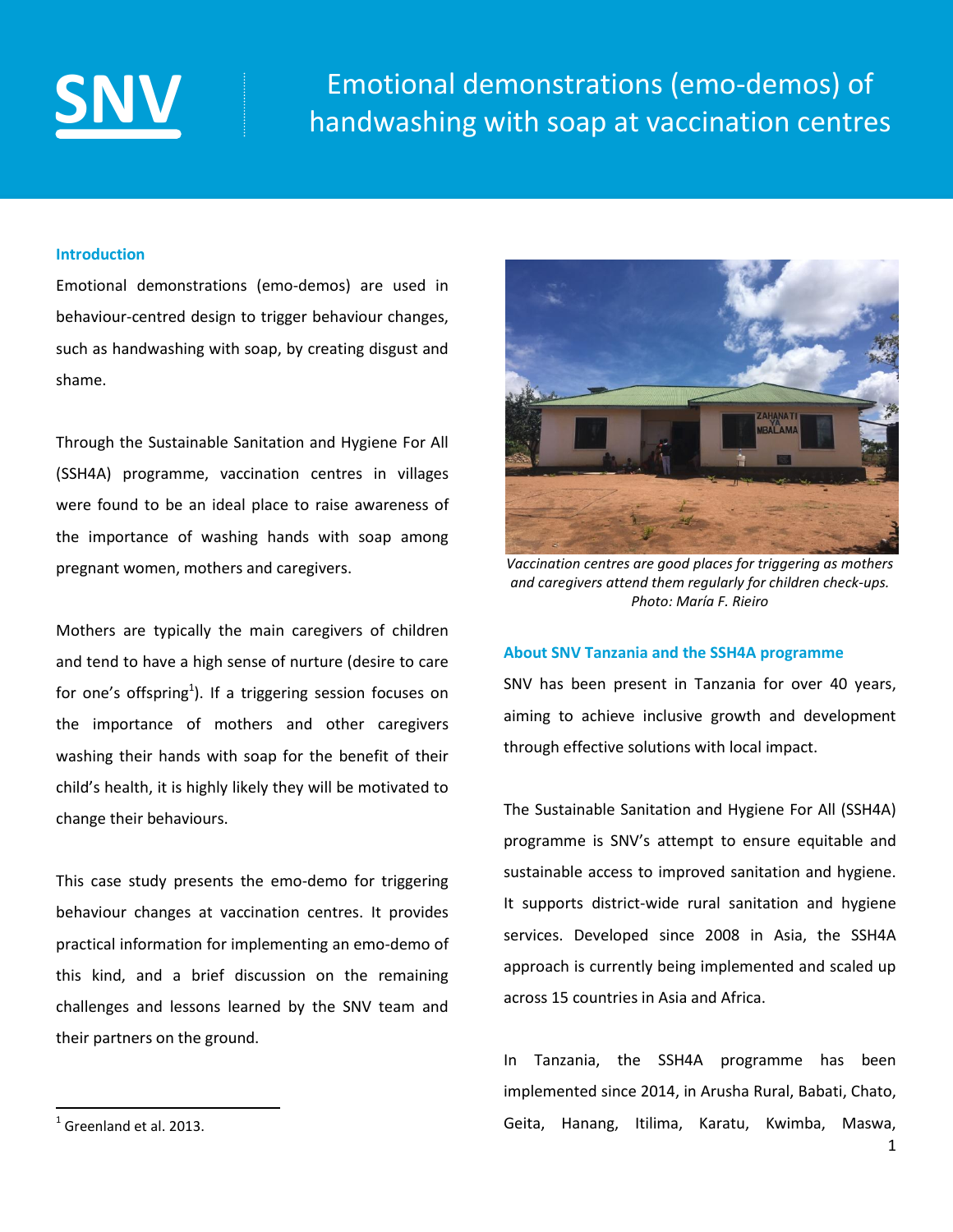

# **[SNV](http://www.snv.org/)** Emotional demonstrations (emo-demos) of<br>handwashing with soap at vaccination centres

# **Introduction**

Emotional demonstrations (emo-demos) are used in behaviour-centred design to trigger behaviour changes, such as handwashing with soap, by creating disgust and shame.

Through the Sustainable Sanitation and Hygiene For All (SSH4A) programme, vaccination centres in villages were found to be an ideal place to raise awareness of the importance of washing hands with soap among pregnant women, mothers and caregivers.

Mothers are typically the main caregivers of children and tend to have a high sense of nurture (desire to care for one's offspring<sup>1</sup>). If a triggering session focuses on the importance of mothers and other caregivers washing their hands with soap for the benefit of their child's health, it is highly likely they will be motivated to change their behaviours.

This case study presents the emo-demo for triggering behaviour changes at vaccination centres. It provides practical information for implementing an emo-demo of this kind, and a brief discussion on the remaining challenges and lessons learned by the SNV team and their partners on the ground.



*Vaccination centres are good places for triggering as mothers and caregivers attend them regularly for children check-ups. Photo: María F. Rieiro* 

# **About SNV Tanzania and the SSH4A programme**

SNV has been present in Tanzania for over 40 years, aiming to achieve inclusive growth and development through effective solutions with local impact.

The Sustainable Sanitation and Hygiene For All (SSH4A) programme is SNV's attempt to ensure equitable and sustainable access to improved sanitation and hygiene. It supports district-wide rural sanitation and hygiene services. Developed since 2008 in Asia, the SSH4A approach is currently being implemented and scaled up across 15 countries in Asia and Africa.

In Tanzania, the SSH4A programme has been implemented since 2014, in Arusha Rural, Babati, Chato, Geita, Hanang, Itilima, Karatu, Kwimba, Maswa,

 $\overline{\phantom{a}}$ 

 $<sup>1</sup>$  Greenland et al. 2013.</sup>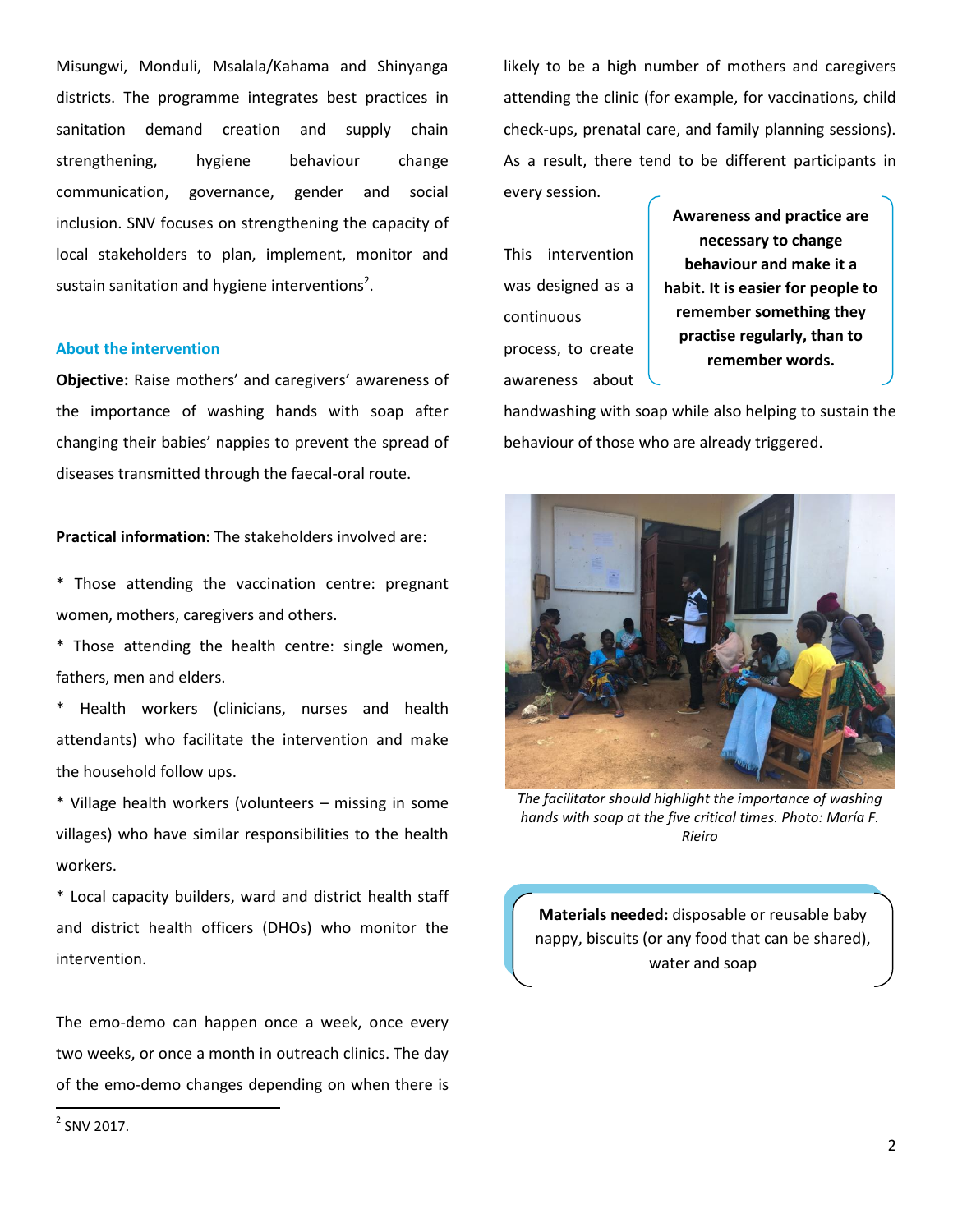Misungwi, Monduli, Msalala/Kahama and Shinyanga districts. The programme integrates best practices in sanitation demand creation and supply chain strengthening, hygiene behaviour change communication, governance, gender and social inclusion. SNV focuses on strengthening the capacity of local stakeholders to plan, implement, monitor and sustain sanitation and hygiene interventions<sup>2</sup>.

### **About the intervention**

**Objective:** Raise mothers' and caregivers' awareness of the importance of washing hands with soap after changing their babies' nappies to prevent the spread of diseases transmitted through the faecal-oral route.

**Practical information:** The stakeholders involved are:

\* Those attending the vaccination centre: pregnant women, mothers, caregivers and others.

\* Those attending the health centre: single women, fathers, men and elders.

\* Health workers (clinicians, nurses and health attendants) who facilitate the intervention and make the household follow ups.

\* Village health workers (volunteers – missing in some villages) who have similar responsibilities to the health workers.

\* Local capacity builders, ward and district health staff and district health officers (DHOs) who monitor the intervention.

The emo-demo can happen once a week, once every two weeks, or once a month in outreach clinics. The day of the emo-demo changes depending on when there is

likely to be a high number of mothers and caregivers attending the clinic (for example, for vaccinations, child check-ups, prenatal care, and family planning sessions). As a result, there tend to be different participants in every session.

This intervention was designed as a continuous process, to create awareness about

**Awareness and practice are necessary to change behaviour and make it a habit. It is easier for people to remember something they practise regularly, than to remember words.**

handwashing with soap while also helping to sustain the behaviour of those who are already triggered.



*The facilitator should highlight the importance of washing hands with soap at the five critical times. Photo: María F. Rieiro*

**Materials needed:** disposable or reusable baby nappy, biscuits (or any food that can be shared), water and soap

 $2$  SNV 2017.

 $\overline{\phantom{a}}$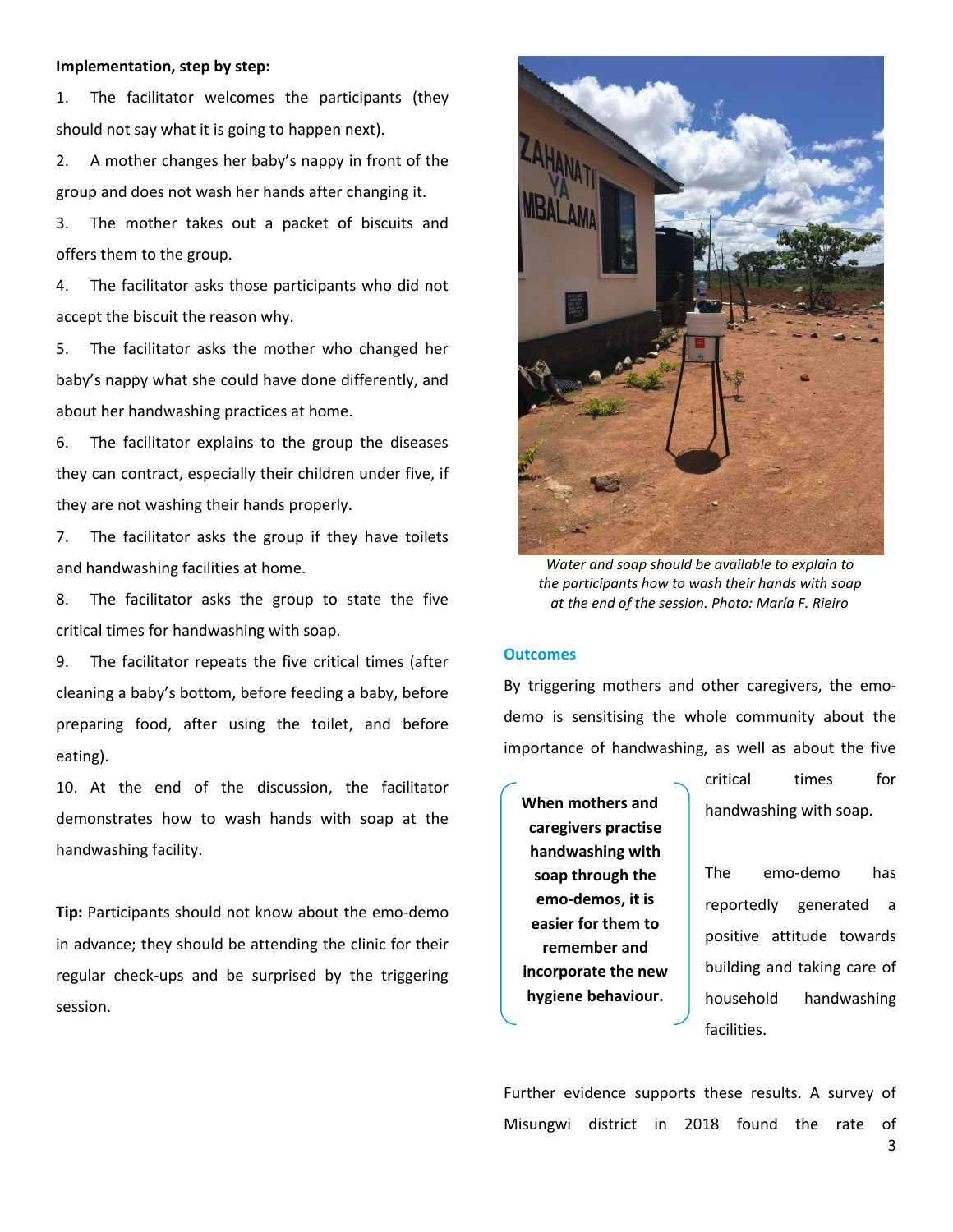# **Implementation, step by step:**

1. The facilitator welcomes the participants (they should not say what it is going to happen next).

2. A mother changes her baby's nappy in front of the group and does not wash her hands after changing it.

3. The mother takes out a packet of biscuits and offers them to the group.

4. The facilitator asks those participants who did not accept the biscuit the reason why.

5. The facilitator asks the mother who changed her baby's nappy what she could have done differently, and about her handwashing practices at home.

6. The facilitator explains to the group the diseases they can contract, especially their children under five, if they are not washing their hands properly.

7. The facilitator asks the group if they have toilets and handwashing facilities at home.

8. The facilitator asks the group to state the five critical times for handwashing with soap.

9. The facilitator repeats the five critical times (after cleaning a baby's bottom, before feeding a baby, before preparing food, after using the toilet, and before eating).

10. At the end of the discussion, the facilitator demonstrates how to wash hands with soap at the handwashing facility.

**Tip:** Participants should not know about the emo-demo in advance; they should be attending the clinic for their regular check-ups and be surprised by the triggering session.



*Water and soap should be available to explain to the participants how to wash their hands with soap at the end of the session. Photo: María F. Rieiro*

### **Outcomes**

By triggering mothers and other caregivers, the emodemo is sensitising the whole community about the importance of handwashing, as well as about the five

**When mothers and caregivers practise handwashing with soap through the emo-demos, it is easier for them to remember and incorporate the new hygiene behaviour.**

critical times for handwashing with soap.

The emo-demo has reportedly generated a positive attitude towards building and taking care of household handwashing facilities.

Further evidence supports these results. A survey of Misungwi district in 2018 found the rate of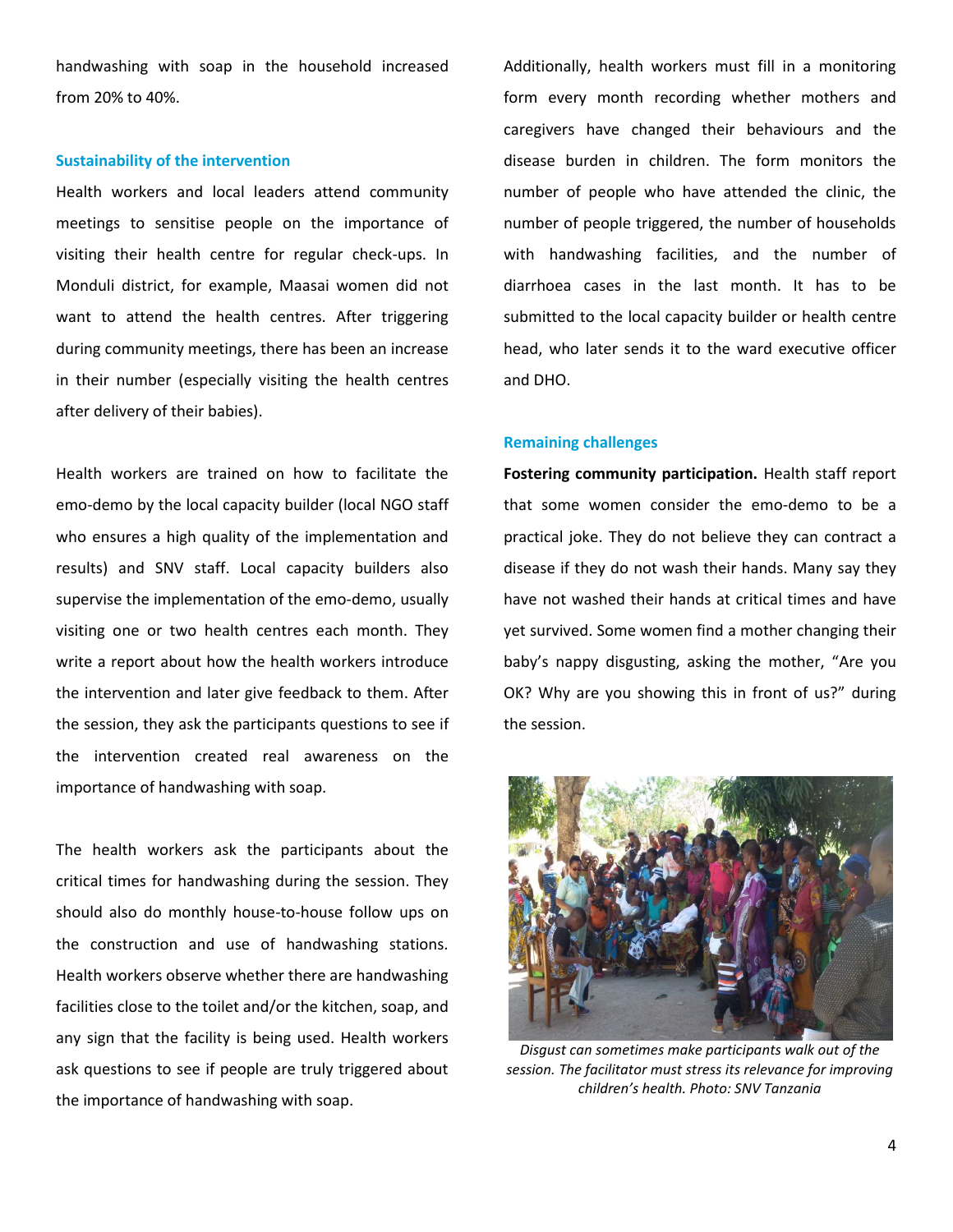handwashing with soap in the household increased from 20% to 40%.

### **Sustainability of the intervention**

Health workers and local leaders attend community meetings to sensitise people on the importance of visiting their health centre for regular check-ups. In Monduli district, for example, Maasai women did not want to attend the health centres. After triggering during community meetings, there has been an increase in their number (especially visiting the health centres after delivery of their babies).

Health workers are trained on how to facilitate the emo-demo by the local capacity builder (local NGO staff who ensures a high quality of the implementation and results) and SNV staff. Local capacity builders also supervise the implementation of the emo-demo, usually visiting one or two health centres each month. They write a report about how the health workers introduce the intervention and later give feedback to them. After the session, they ask the participants questions to see if the intervention created real awareness on the importance of handwashing with soap.

The health workers ask the participants about the critical times for handwashing during the session. They should also do monthly house-to-house follow ups on the construction and use of handwashing stations. Health workers observe whether there are handwashing facilities close to the toilet and/or the kitchen, soap, and any sign that the facility is being used. Health workers ask questions to see if people are truly triggered about the importance of handwashing with soap.

Additionally, health workers must fill in a monitoring form every month recording whether mothers and caregivers have changed their behaviours and the disease burden in children. The form monitors the number of people who have attended the clinic, the number of people triggered, the number of households with handwashing facilities, and the number of diarrhoea cases in the last month. It has to be submitted to the local capacity builder or health centre head, who later sends it to the ward executive officer and DHO.

### **Remaining challenges**

**Fostering community participation.** Health staff report that some women consider the emo-demo to be a practical joke. They do not believe they can contract a disease if they do not wash their hands. Many say they have not washed their hands at critical times and have yet survived. Some women find a mother changing their baby's nappy disgusting, asking the mother, "Are you OK? Why are you showing this in front of us?" during the session.



*Disgust can sometimes make participants walk out of the session. The facilitator must stress its relevance for improving children's health. Photo: SNV Tanzania*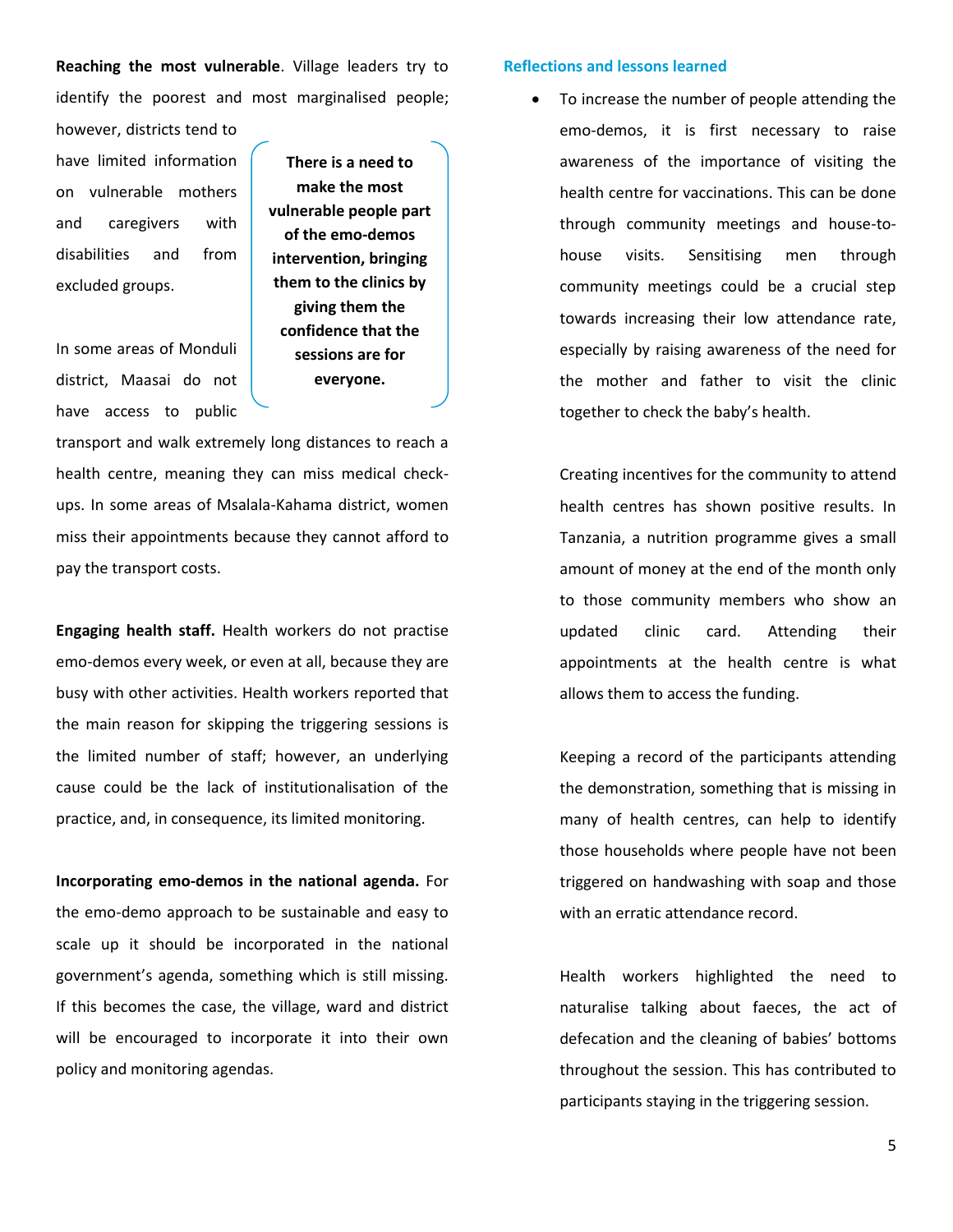**Reaching the most vulnerable**. Village leaders try to identify the poorest and most marginalised people;

however, districts tend to have limited information on vulnerable mothers and caregivers with disabilities and from excluded groups.

In some areas of Monduli district, Maasai do not have access to public

**There is a need to make the most vulnerable people part of the emo-demos intervention, bringing them to the clinics by giving them the confidence that the sessions are for everyone.**

transport and walk extremely long distances to reach a health centre, meaning they can miss medical checkups. In some areas of Msalala-Kahama district, women miss their appointments because they cannot afford to pay the transport costs.

**Engaging health staff.** Health workers do not practise emo-demos every week, or even at all, because they are busy with other activities. Health workers reported that the main reason for skipping the triggering sessions is the limited number of staff; however, an underlying cause could be the lack of institutionalisation of the practice, and, in consequence, its limited monitoring.

**Incorporating emo-demos in the national agenda.** For the emo-demo approach to be sustainable and easy to scale up it should be incorporated in the national government's agenda, something which is still missing. If this becomes the case, the village, ward and district will be encouraged to incorporate it into their own policy and monitoring agendas.

# **Reflections and lessons learned**

 To increase the number of people attending the emo-demos, it is first necessary to raise awareness of the importance of visiting the health centre for vaccinations. This can be done through community meetings and house-tohouse visits. Sensitising men through community meetings could be a crucial step towards increasing their low attendance rate, especially by raising awareness of the need for the mother and father to visit the clinic together to check the baby's health.

Creating incentives for the community to attend health centres has shown positive results. In Tanzania, a nutrition programme gives a small amount of money at the end of the month only to those community members who show an updated clinic card. Attending their appointments at the health centre is what allows them to access the funding.

Keeping a record of the participants attending the demonstration, something that is missing in many of health centres, can help to identify those households where people have not been triggered on handwashing with soap and those with an erratic attendance record.

Health workers highlighted the need to naturalise talking about faeces, the act of defecation and the cleaning of babies' bottoms throughout the session. This has contributed to participants staying in the triggering session.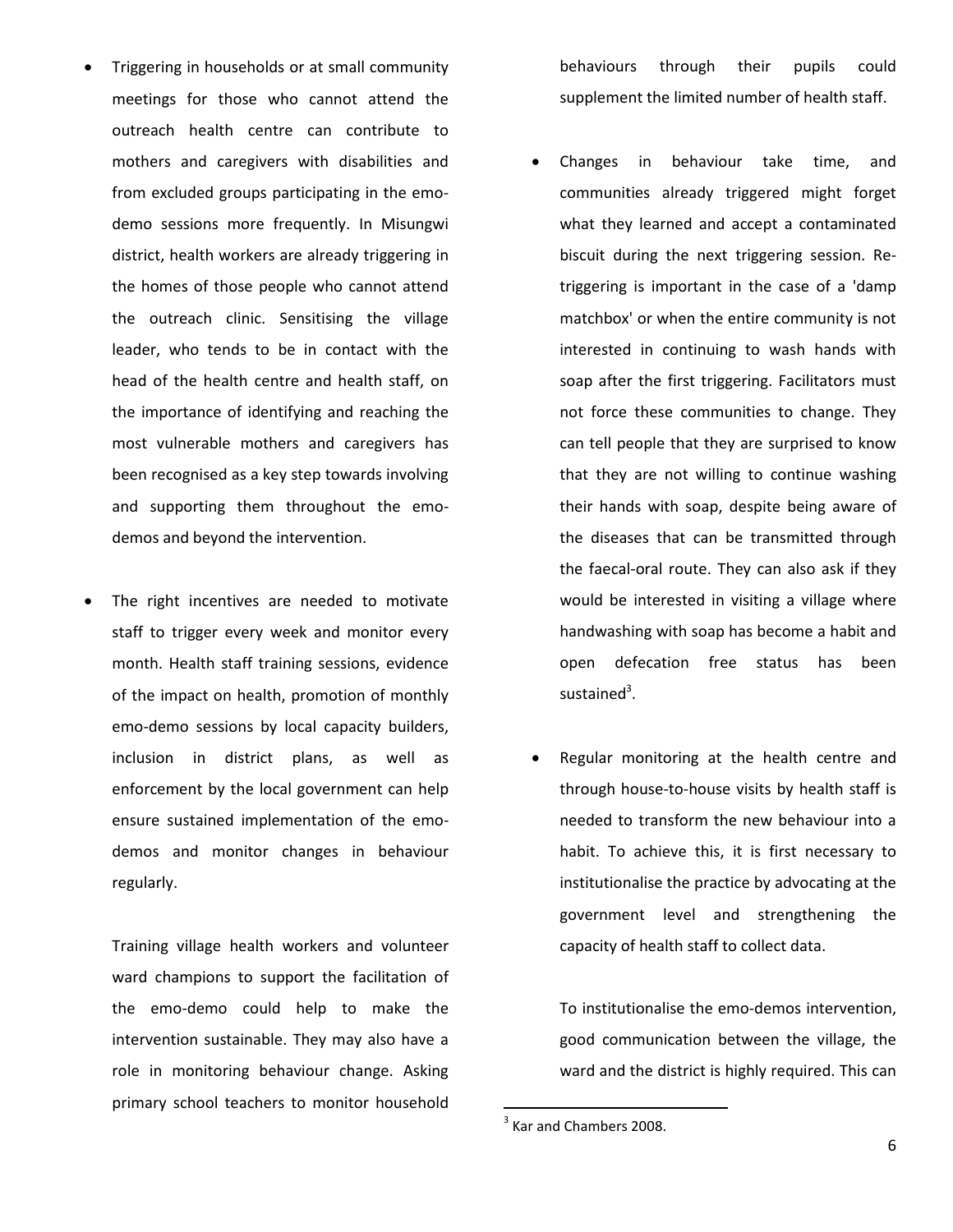- Triggering in households or at small community meetings for those who cannot attend the outreach health centre can contribute to mothers and caregivers with disabilities and from excluded groups participating in the emodemo sessions more frequently. In Misungwi district, health workers are already triggering in the homes of those people who cannot attend the outreach clinic. Sensitising the village leader, who tends to be in contact with the head of the health centre and health staff, on the importance of identifying and reaching the most vulnerable mothers and caregivers has been recognised as a key step towards involving and supporting them throughout the emodemos and beyond the intervention.
- The right incentives are needed to motivate staff to trigger every week and monitor every month. Health staff training sessions, evidence of the impact on health, promotion of monthly emo-demo sessions by local capacity builders, inclusion in district plans, as well as enforcement by the local government can help ensure sustained implementation of the emodemos and monitor changes in behaviour regularly.

Training village health workers and volunteer ward champions to support the facilitation of the emo-demo could help to make the intervention sustainable. They may also have a role in monitoring behaviour change. Asking primary school teachers to monitor household

behaviours through their pupils could supplement the limited number of health staff.

- Changes in behaviour take time, and communities already triggered might forget what they learned and accept a contaminated biscuit during the next triggering session. Retriggering is important in the case of a 'damp matchbox' or when the entire community is not interested in continuing to wash hands with soap after the first triggering. Facilitators must not force these communities to change. They can tell people that they are surprised to know that they are not willing to continue washing their hands with soap, despite being aware of the diseases that can be transmitted through the faecal-oral route. They can also ask if they would be interested in visiting a village where handwashing with soap has become a habit and open defecation free status has been sustained<sup>3</sup>.
- Regular monitoring at the health centre and through house-to-house visits by health staff is needed to transform the new behaviour into a habit. To achieve this, it is first necessary to institutionalise the practice by advocating at the government level and strengthening the capacity of health staff to collect data.

To institutionalise the emo-demos intervention, good communication between the village, the ward and the district is highly required. This can

 $\overline{\phantom{a}}$ 

 $3$  Kar and Chambers 2008.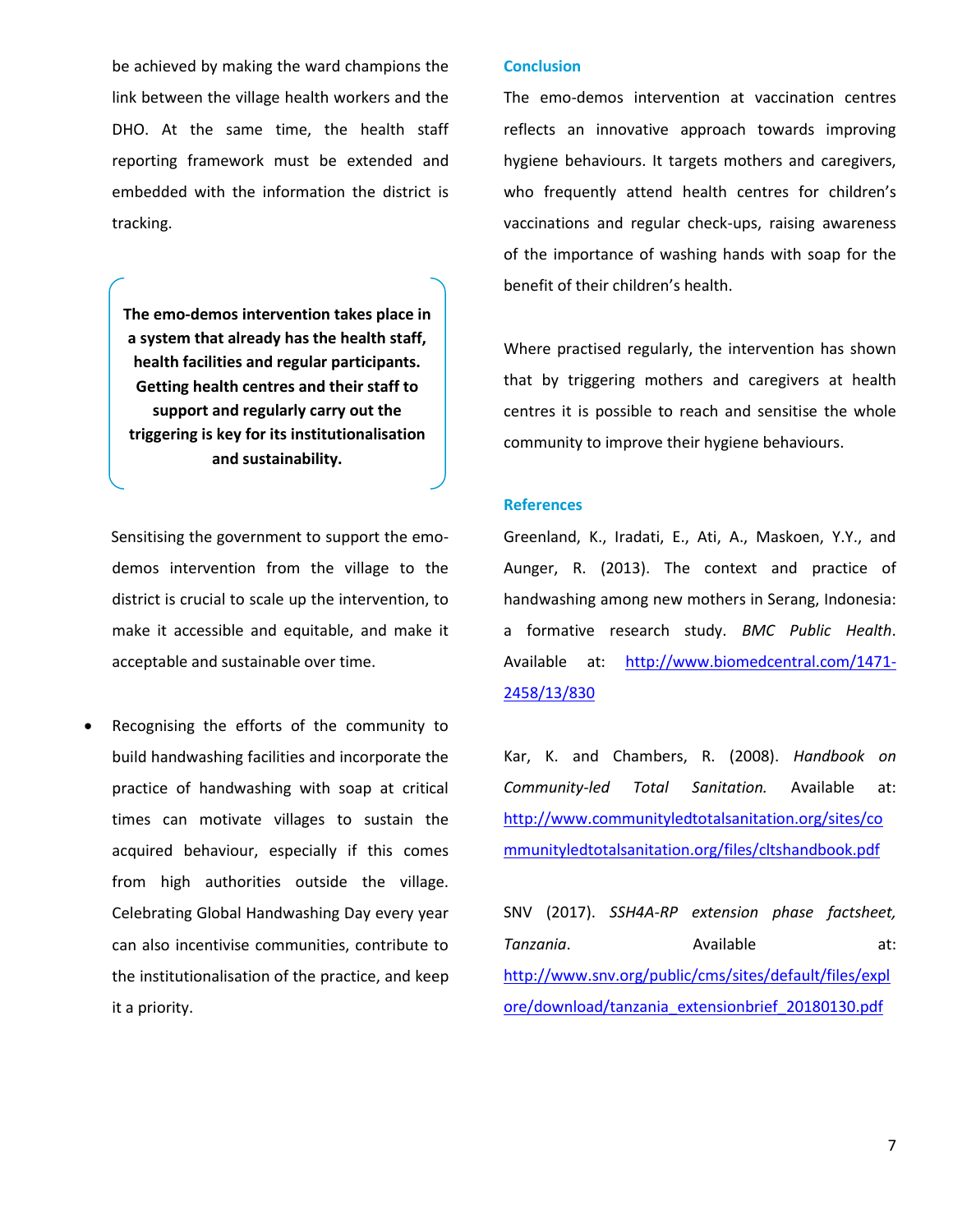be achieved by making the ward champions the link between the village health workers and the DHO. At the same time, the health staff reporting framework must be extended and embedded with the information the district is tracking.

**The emo-demos intervention takes place in a system that already has the health staff, health facilities and regular participants. Getting health centres and their staff to support and regularly carry out the triggering is key for its institutionalisation and sustainability.**

Sensitising the government to support the emodemos intervention from the village to the district is crucial to scale up the intervention, to make it accessible and equitable, and make it acceptable and sustainable over time.

 Recognising the efforts of the community to build handwashing facilities and incorporate the practice of handwashing with soap at critical times can motivate villages to sustain the acquired behaviour, especially if this comes from high authorities outside the village. Celebrating Global Handwashing Day every year can also incentivise communities, contribute to the institutionalisation of the practice, and keep it a priority.

# **Conclusion**

The emo-demos intervention at vaccination centres reflects an innovative approach towards improving hygiene behaviours. It targets mothers and caregivers, who frequently attend health centres for children's vaccinations and regular check-ups, raising awareness of the importance of washing hands with soap for the benefit of their children's health.

Where practised regularly, the intervention has shown that by triggering mothers and caregivers at health centres it is possible to reach and sensitise the whole community to improve their hygiene behaviours.

## **References**

Greenland, K., Iradati, E., Ati, A., Maskoen, Y.Y., and Aunger, R. (2013). The context and practice of handwashing among new mothers in Serang, Indonesia: a formative research study. *BMC Public Health*. Available at: [http://www.biomedcentral.com/1471-](http://www.biomedcentral.com/1471-2458/13/830) [2458/13/830](http://www.biomedcentral.com/1471-2458/13/830)

Kar, K. and Chambers, R. (2008). *Handbook on Community-led Total Sanitation.* Available at: [http://www.communityledtotalsanitation.org/sites/co](http://www.communityledtotalsanitation.org/sites/communityledtotalsanitation.org/files/cltshandbook.pdf) [mmunityledtotalsanitation.org/files/cltshandbook.pdf](http://www.communityledtotalsanitation.org/sites/communityledtotalsanitation.org/files/cltshandbook.pdf)

SNV (2017). *SSH4A-RP extension phase factsheet,*  **Tanzania.** Available at: [http://www.snv.org/public/cms/sites/default/files/expl](http://www.snv.org/public/cms/sites/default/files/explore/download/tanzania_extensionbrief_20180130.pdf) [ore/download/tanzania\\_extensionbrief\\_20180130.pdf](http://www.snv.org/public/cms/sites/default/files/explore/download/tanzania_extensionbrief_20180130.pdf)